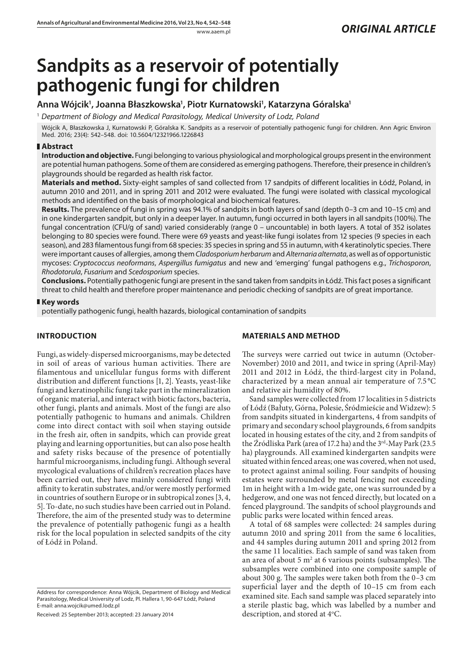# **Sandpits as a reservoir of potentially pathogenic fungi for children**

# Anna Wójcik<sup>1</sup>, Joanna Błaszkowska<sup>1</sup>, Piotr Kurnatowski<sup>1</sup>, Katarzyna Góralska<sup>1</sup>

1  *Department of Biology and Medical Parasitology, Medical University of Lodz, Poland*

Wójcik A, Błaszkowska J, Kurnatowski P, Góralska K. Sandpits as a reservoir of potentially pathogenic fungi for children. Ann Agric Environ Med. 2016; 23(4): 542–548. doi: 10.5604/12321966.1226843

#### **Abstract**

**Introduction and objective.** Fungi belonging to various physiological and morphological groups present in the environment are potential human pathogens. Some of them are considered as emerging pathogens. Therefore, their presence in children's playgrounds should be regarded as health risk factor.

**Materials and method.** Sixty-eight samples of sand collected from 17 sandpits of different localities in Łódź, Poland, in autumn 2010 and 2011, and in spring 2011 and 2012 were evaluated. The fungi were isolated with classical mycological methods and identified on the basis of morphological and biochemical features.

**Results.** The prevalence of fungi in spring was 94.1% of sandpits in both layers of sand (depth 0–3 cm and 10–15 cm) and in one kindergarten sandpit, but only in a deeper layer. In autumn, fungi occurred in both layers in all sandpits (100%). The fungal concentration (CFU/g of sand) varied considerably (range 0 – uncountable) in both layers. A total of 352 isolates belonging to 80 species were found. There were 69 yeasts and yeast-like fungi isolates from 12 species (9 species in each season), and 283 filamentous fungi from 68 species: 35 species in spring and 55 in autumn, with 4 keratinolytic species. There were important causes of allergies, among them *Cladosporium herbarum* and *Alternaria alternata*, as well asof opportunistic mycoses: *Cryptococcus neoformans*, *Aspergillus fumigatus* and new and 'emerging' fungal pathogens e.g., *Trichosporon*, *Rhodotorula*, *Fusarium* and *Scedosporium* species.

**Conclusions.** Potentially pathogenic fungi are present in the sand taken from sandpits in Łódź. This fact poses a significant threat to child health and therefore proper maintenance and periodic checking of sandpits are of great importance.

#### **Key words**

potentially pathogenic fungi, health hazards, biological contamination of sandpits

## **INTRODUCTION**

Fungi, as widely-dispersed microorganisms, may be detected in soil of areas of various human activities. There are filamentous and unicellular fungus forms with different distribution and different functions [1, 2]. Yeasts, yeast-like fungi and keratinophilic fungi take part in the mineralization of organic material, and interact with biotic factors, bacteria, other fungi, plants and animals. Most of the fungi are also potentially pathogenic to humans and animals. Children come into direct contact with soil when staying outside in the fresh air, often in sandpits, which can provide great playing and learning opportunities, but can also pose health and safety risks because of the presence of potentially harmful microorganisms, including fungi. Although several mycological evaluations of children's recreation places have been carried out, they have mainly considered fungi with affinity to keratin substrates, and/or were mostly performed in countries of southern Europe or in subtropical zones [3, 4, 5]. To-date, no such studies have been carried out in Poland. Therefore, the aim of the presented study was to determine the prevalence of potentially pathogenic fungi as a health risk for the local population in selected sandpits of the city of Łódź in Poland.

Address for correspondence: Anna Wójcik, Department of Biology and Medical Parasitology, Medical University of Lodz, Pl. Hallera 1, 90-647 Łódź, Poland E-mail: anna.wojcik@umed.lodz.pl

Received: 25 September 2013; accepted: 23 January 2014

#### **MATERIALS AND METHOD**

The surveys were carried out twice in autumn (October-November) 2010 and 2011, and twice in spring (April-May) 2011 and 2012 in Łódź, the third-largest city in Poland, characterized by a mean annual air temperature of 7.5 °C and relative air humidity of 80%.

Sand samples were collected from 17 localities in 5 districts of Łódź (Bałuty, Górna, Polesie, Śródmieście and Widzew): 5 from sandpits situated in kindergartens, 4 from sandpits of primary and secondary school playgrounds, 6 from sandpits located in housing estates of the city, and 2 from sandpits of the Źródliska Park (area of 17.2 ha) and the 3<sup>rd</sup>-May Park (23.5 ha) playgrounds. All examined kindergarten sandpits were situated within fenced areas; one was covered, when not used, to protect against animal soiling. Four sandpits of housing estates were surrounded by metal fencing not exceeding 1m in height with a 1m-wide gate, one was surrounded by a hedgerow, and one was not fenced directly, but located on a fenced playground. The sandpits of school playgrounds and public parks were located within fenced areas.

A total of 68 samples were collected: 24 samples during autumn 2010 and spring 2011 from the same 6 localities, and 44 samples during autumn 2011 and spring 2012 from the same 11 localities. Each sample of sand was taken from an area of about  $5 \text{ m}^2$  at 6 various points (subsamples). The subsamples were combined into one composite sample of about 300 g. The samples were taken both from the 0–3 cm superficial layer and the depth of 10–15 cm from each examined site. Each sand sample was placed separately into a sterile plastic bag, which was labelled by a number and description, and stored at 4°C.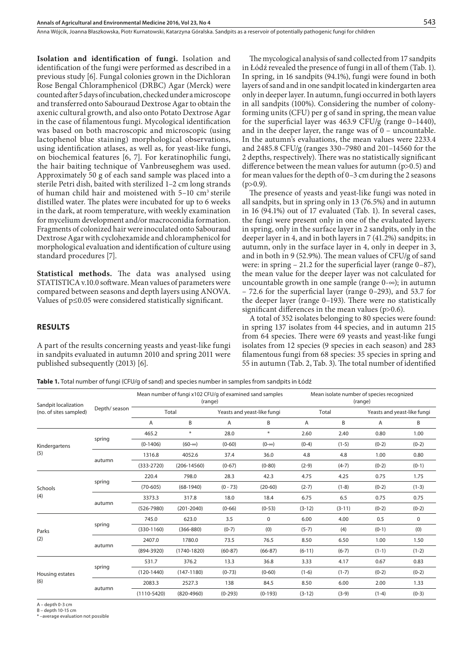Anna Wójcik, Joanna Błaszkowska, Piotr Kurnatowski, Katarzyna Góralska . Sandpits as a reservoir of potentially pathogenic fungi for children

**Isolation and identification of fungi.** Isolation and identification of the fungi were performed as described in a previous study [6]. Fungal colonies grown in the Dichloran Rose Bengal Chloramphenicol (DRBC) Agar (Merck) were counted after 5 days of incubation, checked under a microscope and transferred onto Sabouraud Dextrose Agar to obtain the axenic cultural growth, and also onto Potato Dextrose Agar in the case of filamentous fungi. Mycological identification was based on both macroscopic and microscopic (using lactophenol blue staining) morphological observations, using identification atlases, as well as, for yeast-like fungi, on biochemical features [6, 7]. For keratinophilic fungi, the hair baiting technique of Vanbreuseghem was used. Approximately 50 g of each sand sample was placed into a sterile Petri dish, baited with sterilized 1–2 cm long strands of human child hair and moistened with 5–10 cm3 sterile distilled water. The plates were incubated for up to 6 weeks in the dark, at room temperature, with weekly examination for mycelium development and/or macroconidia formation. Fragments of colonized hair were inoculated onto Sabouraud Dextrose Agar with cyclohexamide and chloramphenicol for morphological evaluation and identification of culture using standard procedures [7].

**Statistical methods.** The data was analysed using STATISTICA v.10.0 software. Mean values of parameters were compared between seasons and depth layers using ANOVA. Values of p≤0.05 were considered statistically significant.

The mycological analysis of sand collected from 17 sandpits in Łódź revealed the presence of fungi in all of them (Tab. 1). In spring, in 16 sandpits (94.1%), fungi were found in both layers of sand and in one sandpit located in kindergarten area only in deeper layer. In autumn, fungi occurred in both layers in all sandpits (100%). Considering the number of colonyforming units (CFU) per g of sand in spring, the mean value for the superficial layer was 463.9 CFU/g (range 0–1440), and in the deeper layer, the range was of 0 – uncountable. In the autumn's evaluations, the mean values were 2233.4 and 2485.8 CFU/g (ranges 330–7980 and 201–14560 for the 2 depths, respectively). There was no statistically significant difference between the mean values for autumn (p>0.5) and for mean values for the depth of 0–3 cm during the 2 seasons  $(p>0.9)$ .

The presence of yeasts and yeast-like fungi was noted in all sandpits, but in spring only in 13 (76.5%) and in autumn in 16 (94.1%) out of 17 evaluated (Tab. 1). In several cases, the fungi were present only in one of the evaluated layers: in spring, only in the surface layer in 2 sandpits, only in the deeper layer in 4, and in both layers in 7 (41.2%) sandpits; in autumn, only in the surface layer in 4, only in deeper in 3, and in both in 9 (52.9%). The mean values of CFU/g of sand were: in spring  $-21.2$  for the superficial layer (range  $0-87$ ), the mean value for the deeper layer was not calculated for uncountable growth in one sample (range  $0-\infty$ ); in autumn – 72.6 for the superficial layer (range 0–293), and 53.7 for the deeper layer (range 0–193). There were no statistically significant differences in the mean values (p>0.6).

**RESULTS**

A part of the results concerning yeasts and yeast-like fungi in sandpits evaluated in autumn 2010 and spring 2011 were published subsequently (2013) [6].

A total of 352 isolates belonging to 80 species were found: in spring 137 isolates from 44 species, and in autumn 215 from 64 species. There were 69 yeasts and yeast-like fungi isolates from 12 species (9 species in each season) and 283 filamentous fungi from 68 species: 35 species in spring and 55 in autumn (Tab. 2, Tab. 3). The total number of identified

**Table 1.** Total number of fungi (CFU/g of sand) and species number in samples from sandpits in Łódź

| Sandpit localization<br>(no. of sites sampled) | Depth/ season |                 | Mean number of fungi x102 CFU/g of examined sand samples<br>(range) |            |                             | Mean isolate number of species recognized<br>(range) |          |                             |             |  |  |
|------------------------------------------------|---------------|-----------------|---------------------------------------------------------------------|------------|-----------------------------|------------------------------------------------------|----------|-----------------------------|-------------|--|--|
|                                                |               |                 | Total                                                               |            | Yeasts and yeast-like fungi |                                                      | Total    | Yeasts and yeast-like fungi |             |  |  |
|                                                |               | Α               | B                                                                   | A          | B                           | A                                                    | B        | A                           | B           |  |  |
| Kindergartens<br>(5)                           | spring        | 465.2           | $\ast$                                                              | 28.0       | $\ast$                      | 2.60                                                 | 2.40     | 0.80                        | 1.00        |  |  |
|                                                |               | $(0-1406)$      | $(60 - \infty)$                                                     | $(0-60)$   | $(0-\infty)$                | $(0-4)$                                              | $(1-5)$  | $(0-2)$                     | $(0-2)$     |  |  |
|                                                | autumn        | 1316.8          | 4052.6                                                              | 37.4       | 36.0                        | 4.8                                                  | 4.8      | 1.00                        | 0.80        |  |  |
|                                                |               | $(333-2720)$    | $(206 - 14560)$                                                     | $(0-67)$   | $(0-80)$                    | $(2-9)$                                              | $(4-7)$  | $(0-2)$                     | $(0-1)$     |  |  |
| Schools<br>(4)                                 | spring        | 220.4           | 798.0                                                               | 28.3       | 42.3                        | 4.75                                                 | 4.25     | 0.75                        | 1.75        |  |  |
|                                                |               | $(70 - 605)$    | $(68-1940)$                                                         | $(0 - 73)$ | $(20-60)$                   | $(2-7)$                                              | $(1-8)$  | $(0-2)$                     | $(1-3)$     |  |  |
|                                                | autumn        | 3373.3          | 317.8                                                               | 18.0       | 18.4                        | 6.75                                                 | 6.5      | 0.75                        | 0.75        |  |  |
|                                                |               | $(526 - 7980)$  | $(201 - 2040)$                                                      | $(0 - 66)$ | $(0-53)$                    | $(3-12)$                                             | $(3-11)$ | $(0-2)$                     | $(0-2)$     |  |  |
|                                                | spring        | 745.0           | 623.0                                                               | 3.5        | $\mathbf 0$                 | 6.00                                                 | 4.00     | 0.5                         | $\mathbf 0$ |  |  |
| Parks                                          |               | $(330-1160)$    | $(366 - 880)$                                                       | $(0-7)$    | (0)                         | $(5-7)$                                              | (4)      | $(0-1)$                     | (0)         |  |  |
| (2)                                            | autumn        | 2407.0          | 1780.0                                                              | 73.5       | 76.5                        | 8.50                                                 | 6.50     | 1.00                        | 1.50        |  |  |
|                                                |               | $(894 - 3920)$  | $(1740 - 1820)$                                                     | $(60-87)$  | $(66-87)$                   | $(6-11)$                                             | $(6-7)$  | $(1-1)$                     | $(1-2)$     |  |  |
| Housing estates<br>(6)                         | spring        | 531.7           | 376.2                                                               | 13.3       | 36.8                        | 3.33                                                 | 4.17     | 0.67                        | 0.83        |  |  |
|                                                |               | $(120-1440)$    | $(147-1180)$                                                        | $(0-73)$   | $(0-60)$                    | $(1-6)$                                              | $(1-7)$  | $(0-2)$                     | $(0-2)$     |  |  |
|                                                |               | 2083.3          | 2527.3                                                              | 138        | 84.5                        | 8.50                                                 | 6.00     | 2.00                        | 1.33        |  |  |
|                                                | autumn        | $(1110 - 5420)$ | $(820 - 4960)$                                                      | $(0-293)$  | $(0-193)$                   | $(3-12)$                                             | $(3-9)$  | $(1-4)$                     | $(0-3)$     |  |  |
|                                                |               |                 |                                                                     |            |                             |                                                      |          |                             |             |  |  |

A – depth 0-3 cm

B – depth 10-15 cm

-average evaluation not possible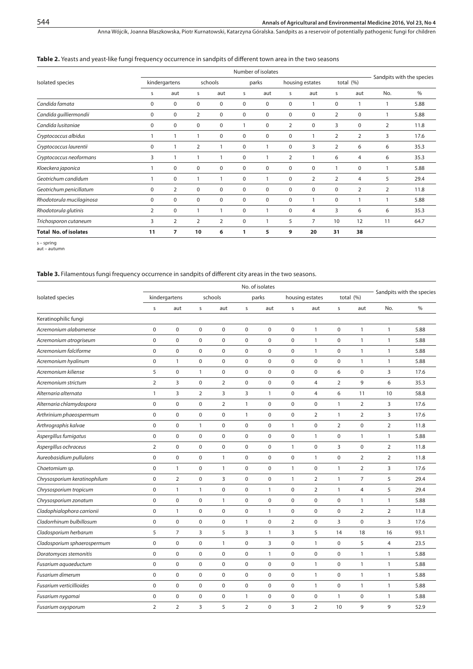Anna Wójcik, Joanna Błaszkowska, Piotr Kurnatowski, Katarzyna Góralska . Sandpits as a reservoir of potentially pathogenic fungi for children

#### **Table 2.** Yeasts and yeast-like fungi frequency occurrence in sandpits of different town area in the two seasons

|                              |               | Number of isolates |                |                |          |             |                |                 |                |                |                           |      |
|------------------------------|---------------|--------------------|----------------|----------------|----------|-------------|----------------|-----------------|----------------|----------------|---------------------------|------|
| Isolated species             | kindergartens |                    |                | schools        |          | parks       |                | housing estates |                | total $(%)$    | Sandpits with the species |      |
|                              | S             | aut                | s              | aut            | s        | aut         | S              | aut             | s              | aut            | No.                       | $\%$ |
| Candida famata               | $\mathbf 0$   | $\mathbf 0$        | $\mathbf 0$    | $\mathbf 0$    | 0        | $\mathbf 0$ | 0              |                 | $\mathbf 0$    |                |                           | 5.88 |
| Candida guilliermondii       | $\mathbf 0$   | 0                  | $\overline{2}$ | 0              | $\Omega$ | $\mathbf 0$ | $\mathbf 0$    | 0               | 2              | $\mathbf 0$    |                           | 5.88 |
| Candida lusitaniae           | 0             | $\mathbf 0$        | $\mathbf 0$    | $\mathbf 0$    |          | $\mathbf 0$ | $\overline{2}$ | 0               | 3              | $\mathbf 0$    | $\overline{2}$            | 11.8 |
| Cryptococcus albidus         |               |                    | 1              | $\mathbf 0$    | 0        | $\mathbf 0$ | 0              |                 | 2              | $\overline{2}$ | 3                         | 17.6 |
| Cryptococcus laurentii       | $\mathbf 0$   |                    | $\overline{2}$ |                | 0        |             | $\mathbf 0$    | 3               | $\overline{2}$ | 6              | 6                         | 35.3 |
| Cryptococcus neoformans      | 3             |                    | 1              |                | $\Omega$ |             | $\overline{2}$ |                 | 6              | $\overline{4}$ | 6                         | 35.3 |
| Kloeckera japonica           |               | $\mathbf 0$        | $\mathbf 0$    | $\mathbf 0$    | 0        | $\mathbf 0$ | $\mathbf 0$    | 0               |                | $\mathbf 0$    |                           | 5.88 |
| Geotrichum candidum          |               | 0                  |                |                | 0        |             | $\mathbf 0$    | $\overline{2}$  | $\overline{2}$ | $\overline{4}$ | 5                         | 29.4 |
| Geotrichum penicillatum      | $\mathbf 0$   | 2                  | $\mathbf 0$    | $\mathbf 0$    | $\Omega$ | $\mathbf 0$ | 0              | 0               | 0              | $\overline{2}$ | 2                         | 11.8 |
| Rhodotorula mucilaginosa     | $\mathbf 0$   | $\mathbf 0$        | $\mathbf 0$    | 0              | $\Omega$ | $\mathbf 0$ | 0              |                 | 0              |                |                           | 5.88 |
| Rhodotorula glutinis         | 2             | $\mathbf 0$        | $\mathbf{1}$   |                | 0        |             | $\mathbf 0$    | $\overline{4}$  | 3              | 6              | 6                         | 35.3 |
| Trichosporon cutaneum        | 3             | 2                  | $\overline{2}$ | $\overline{2}$ | $\Omega$ |             | 5              | 7               | 10             | 12             | 11                        | 64.7 |
| <b>Total No. of isolates</b> | 11            | 7                  | 10             | 6              |          | 5           | 9              | 20              | 31             | 38             |                           |      |

s – spring aut – autumn

#### **Table 3.** Filamentous fungi frequency occurrence in sandpits of different city areas in the two seasons.

|                              | No. of isolates |                |                |                |                |              |                |                  |                |                |                |                           |  |
|------------------------------|-----------------|----------------|----------------|----------------|----------------|--------------|----------------|------------------|----------------|----------------|----------------|---------------------------|--|
| Isolated species             | kindergartens   |                | schools        |                |                | parks        |                | housing estates  |                | total $(%)$    |                | Sandpits with the species |  |
|                              | s               | aut            | $\sf S$        | aut            | $\sf S$        | aut          | s              | aut              | S              | aut            | No.            | $\%$                      |  |
| Keratinophilic fungi         |                 |                |                |                |                |              |                |                  |                |                |                |                           |  |
| Acremonium alabamense        | 0               | $\pmb{0}$      | $\pmb{0}$      | $\mathbf 0$    | $\pmb{0}$      | 0            | 0              | $\mathbf{1}$     | $\mathbf 0$    | $\mathbf{1}$   | $\mathbf{1}$   | 5.88                      |  |
| Acremonium atrogriseum       | 0               | $\pmb{0}$      | $\mathbf 0$    | $\mathbf 0$    | $\mathbf 0$    | 0            | $\pmb{0}$      | $\mathbf{1}$     | $\mathbf 0$    | $\mathbf{1}$   | 1              | 5.88                      |  |
| Acremonium falciforme        | 0               | $\pmb{0}$      | $\pmb{0}$      | $\pmb{0}$      | $\pmb{0}$      | $\pmb{0}$    | $\pmb{0}$      | $\mathbf{1}$     | $\mathbf 0$    | $\mathbf{1}$   | $\mathbf{1}$   | 5.88                      |  |
| Acremonium hyalinum          | 0               | $\mathbf{1}$   | $\pmb{0}$      | $\mathbf 0$    | $\mathbf 0$    | $\mathbf 0$  | $\pmb{0}$      | $\boldsymbol{0}$ | $\mathbf 0$    | $\mathbf{1}$   | $\mathbf{1}$   | 5.88                      |  |
| Acremonium kiliense          | 5               | $\pmb{0}$      | $\mathbf{1}$   | $\mathbf 0$    | $\mathbf 0$    | $\mathbf 0$  | $\pmb{0}$      | $\boldsymbol{0}$ | 6              | 0              | 3              | 17.6                      |  |
| Acremonium strictum          | $\overline{2}$  | 3              | $\mathbf 0$    | $\overline{2}$ | $\mathbf 0$    | $\mathbf 0$  | $\mathbf 0$    | $\overline{4}$   | $\overline{2}$ | 9              | 6              | 35.3                      |  |
| Alternaria alternata         | $\mathbf{1}$    | 3              | $\overline{2}$ | 3              | 3              | $\mathbf{1}$ | 0              | $\overline{4}$   | 6              | 11             | 10             | 58.8                      |  |
| Alternaria chlamydospora     | 0               | $\pmb{0}$      | $\pmb{0}$      | $\overline{2}$ | $\mathbf{1}$   | $\mathbf 0$  | $\pmb{0}$      | $\pmb{0}$        | $\mathbf{1}$   | $\overline{2}$ | 3              | 17.6                      |  |
| Arthrinium phaeospermum      | 0               | $\pmb{0}$      | $\pmb{0}$      | $\mathbf 0$    | $\mathbf{1}$   | 0            | $\pmb{0}$      | $\overline{2}$   | $\mathbf{1}$   | 2              | 3              | 17.6                      |  |
| Arthrographis kalvae         | 0               | $\pmb{0}$      | 1              | $\mathbf 0$    | $\mathbf 0$    | 0            | $\mathbf{1}$   | $\boldsymbol{0}$ | $\overline{2}$ | $\mathbf 0$    | 2              | 11.8                      |  |
| Aspergillus fumigatus        | $\pmb{0}$       | $\pmb{0}$      | $\pmb{0}$      | $\pmb{0}$      | $\mathbf 0$    | $\mathbf 0$  | $\pmb{0}$      | $\mathbf{1}$     | $\mathbf 0$    | $\mathbf{1}$   | $\mathbf{1}$   | 5.88                      |  |
| Aspergillus ochraceus        | $\overline{2}$  | $\pmb{0}$      | $\pmb{0}$      | $\pmb{0}$      | $\pmb{0}$      | 0            | $\mathbf{1}$   | $\pmb{0}$        | 3              | 0              | $\overline{2}$ | 11.8                      |  |
| Aureobasidium pullulans      | 0               | $\pmb{0}$      | $\pmb{0}$      | $\mathbf{1}$   | $\mathbf 0$    | $\mathbf 0$  | $\pmb{0}$      | $\mathbf{1}$     | 0              | $\overline{2}$ | 2              | 11.8                      |  |
| Chaetomium sp.               | $\pmb{0}$       | $\mathbf{1}$   | $\pmb{0}$      | $\mathbf{1}$   | $\mathbf 0$    | $\mathbf 0$  | $\mathbf{1}$   | $\pmb{0}$        | $\mathbf{1}$   | 2              | 3              | 17.6                      |  |
| Chrysosporium keratinophilum | $\pmb{0}$       | $\overline{2}$ | $\pmb{0}$      | 3              | $\pmb{0}$      | 0            | $\mathbf{1}$   | $\overline{2}$   | $\mathbf{1}$   | $\overline{7}$ | 5              | 29.4                      |  |
| Chrysosporium tropicum       | 0               | $\mathbf{1}$   | $\mathbf{1}$   | $\pmb{0}$      | $\pmb{0}$      | $\mathbf{1}$ | $\pmb{0}$      | $\overline{2}$   | $\mathbf{1}$   | $\overline{4}$ | 5              | 29.4                      |  |
| Chrysosporium zonatum        | $\pmb{0}$       | $\pmb{0}$      | $\pmb{0}$      | $\mathbf{1}$   | $\mathbf 0$    | 0            | $\pmb{0}$      | $\boldsymbol{0}$ | $\mathbf 0$    | 1              | $\mathbf{1}$   | 5.88                      |  |
| Cladophialophora carrionii   | $\mathbf 0$     | $\mathbf{1}$   | $\pmb{0}$      | $\mathbf 0$    | $\mathbf 0$    | $\mathbf{1}$ | $\mathbf 0$    | $\boldsymbol{0}$ | $\mathbf 0$    | 2              | 2              | 11.8                      |  |
| Cladorrhinum bulbillosum     | $\pmb{0}$       | $\pmb{0}$      | $\bf 0$        | $\mathbf 0$    | $\mathbf{1}$   | $\mathbf 0$  | $\overline{2}$ | $\pmb{0}$        | 3              | 0              | 3              | 17.6                      |  |
| Cladosporium herbarum        | 5               | 7              | 3              | 5              | 3              | $\mathbf{1}$ | 3              | 5                | 14             | 18             | 16             | 93.1                      |  |
| Cladosporium sphaerospermum  | 0               | $\pmb{0}$      | $\pmb{0}$      | $\mathbf{1}$   | $\mathbf 0$    | 3            | 0              | $\mathbf{1}$     | $\mathbf 0$    | 5              | 4              | 23.5                      |  |
| Doratomyces stemonitis       | 0               | $\pmb{0}$      | $\pmb{0}$      | $\mathbf 0$    | $\mathbf 0$    | $\mathbf{1}$ | $\pmb{0}$      | $\boldsymbol{0}$ | $\mathsf 0$    | 1              | $\mathbf{1}$   | 5.88                      |  |
| Fusarium aquaeductum         | $\pmb{0}$       | $\pmb{0}$      | $\pmb{0}$      | $\pmb{0}$      | $\mathbf 0$    | $\mathbf 0$  | $\pmb{0}$      | $\mathbf{1}$     | $\mathbf 0$    | $\mathbf{1}$   | 1              | 5.88                      |  |
| Fusarium dimerum             | 0               | $\pmb{0}$      | $\pmb{0}$      | $\mathbf 0$    | $\pmb{0}$      | 0            | $\pmb{0}$      | $\mathbf{1}$     | $\mathbf 0$    | $\mathbf{1}$   | $\mathbf{1}$   | 5.88                      |  |
| Fusarium verticillioides     | $\mathbf 0$     | $\pmb{0}$      | $\mathbf 0$    | $\mathbf 0$    | $\mathbf 0$    | $\mathbf 0$  | $\pmb{0}$      | $\mathbf{1}$     | $\mathbf 0$    | $\mathbf{1}$   | $\mathbf{1}$   | 5.88                      |  |
| Fusarium nygamai             | $\mathbf 0$     | $\pmb{0}$      | $\mathbf 0$    | $\mathbf 0$    | $\mathbf{1}$   | $\mathbf 0$  | $\pmb{0}$      | $\boldsymbol{0}$ | $\mathbf{1}$   | $\mathbf 0$    | $\mathbf{1}$   | 5.88                      |  |
| Fusarium oxysporum           | $\overline{2}$  | $\overline{2}$ | 3              | 5              | $\overline{2}$ | $\mathbf 0$  | 3              | $\overline{2}$   | 10             | 9              | 9              | 52.9                      |  |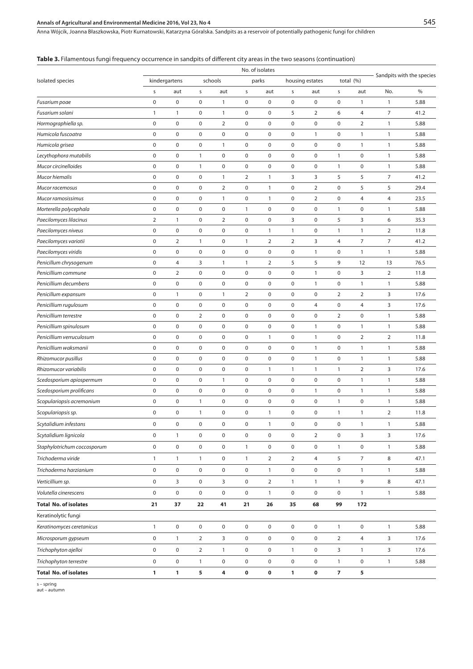## **Annals of Agricultural and Environmental Medicine 2016, Vol 23, No 4**

Anna Wójcik, Joanna Błaszkowska, Piotr Kurnatowski, Katarzyna Góralska . Sandpits as a reservoir of potentially pathogenic fungi for children

| <b>Table 3.</b> Filamentous fungi frequency occurrence in sandpits of different city areas in the two seasons (continuation) |  |  |
|------------------------------------------------------------------------------------------------------------------------------|--|--|
|------------------------------------------------------------------------------------------------------------------------------|--|--|

|                              | No. of isolates |                     |                     |                     |                     |                |                 |                     |                          |                     |                           |      |
|------------------------------|-----------------|---------------------|---------------------|---------------------|---------------------|----------------|-----------------|---------------------|--------------------------|---------------------|---------------------------|------|
| Isolated species             | kindergartens   |                     | schools             |                     | parks               |                | housing estates |                     | total (%)                |                     | Sandpits with the species |      |
|                              | S               | aut                 | S                   | aut                 | S                   | aut            | s               | aut                 | S                        | aut                 | No.                       | %    |
| Fusarium poae                | 0               | $\pmb{0}$           | $\pmb{0}$           | $\mathbf{1}$        | 0                   | 0              | 0               | $\pmb{0}$           | $\mathbf 0$              | 1                   | 1                         | 5.88 |
| Fusarium solani              | 1               | $\mathbf{1}$        | $\pmb{0}$           | $\mathbf{1}$        | $\pmb{0}$           | $\mathbf 0$    | 5               | $\overline{2}$      | 6                        | 4                   | 7                         | 41.2 |
| Hormographiella sp.          | 0               | $\pmb{0}$           | $\boldsymbol{0}$    | $\overline{2}$      | $\boldsymbol{0}$    | 0              | 0               | $\mathbf 0$         | $\mathbf 0$              | 2                   | 1                         | 5.88 |
| Humicola fuscoatra           | 0               | $\pmb{0}$           | $\mathbf 0$         | $\pmb{0}$           | $\pmb{0}$           | 0              | 0               | $\mathbf{1}$        | $\mathbf 0$              | 1                   | 1                         | 5.88 |
| Humicola grisea              | $\pmb{0}$       | $\pmb{0}$           | $\pmb{0}$           | $\mathbf{1}$        | $\mathbf 0$         | $\mathbf 0$    | 0               | $\pmb{0}$           | $\pmb{0}$                | $\mathbf{1}$        | 1                         | 5.88 |
| Lecythophora mutabilis       | $\pmb{0}$       | $\pmb{0}$           | $\mathbf{1}$        | $\mathbf 0$         | $\pmb{0}$           | 0              | 0               | $\pmb{0}$           | $\mathbf{1}$             | $\pmb{0}$           | 1                         | 5.88 |
| Mucor circinelloides         | 0               | $\pmb{0}$           | $\mathbf{1}$        | $\pmb{0}$           | $\pmb{0}$           | 0              | 0               | $\pmb{0}$           | $\mathbf{1}$             | 0                   | $\mathbf{1}$              | 5.88 |
| Mucor hiemalis               | 0               | $\pmb{0}$           | $\pmb{0}$           | $\mathbf{1}$        | 2                   | $\mathbf{1}$   | 3               | 3                   | 5                        | 5                   | 7                         | 41.2 |
| Mucor racemosus              | $\pmb{0}$       | $\pmb{0}$           | $\pmb{0}$           | $\overline{2}$      | $\pmb{0}$           | $\mathbf{1}$   | 0               | $\overline{2}$      | $\mathbf 0$              | 5                   | 5                         | 29.4 |
| Mucor ramosissimus           | $\pmb{0}$       | $\pmb{0}$           | $\pmb{0}$           | $\mathbf{1}$        | $\pmb{0}$           | $\mathbf{1}$   | 0               | $\overline{2}$      | $\mathbf 0$              | 4                   | 4                         | 23.5 |
| Morterella polycephala       | 0               | $\pmb{0}$           | $\boldsymbol{0}$    | $\mathbf 0$         | $\mathbf{1}$        | 0              | 0               | $\pmb{0}$           | $\mathbf{1}$             | $\pmb{0}$           | 1                         | 5.88 |
| Paecilomyces lilacinus       | $\overline{2}$  | $\mathbf{1}$        | $\pmb{0}$           | $\overline{2}$      | $\boldsymbol{0}$    | 0              | 3               | $\pmb{0}$           | 5                        | 3                   | 6                         | 35.3 |
| Paecilomyces niveus          | $\pmb{0}$       | $\pmb{0}$           | $\pmb{0}$           | $\pmb{0}$           | $\pmb{0}$           | $\mathbf{1}$   | $\mathbf{1}$    | $\pmb{0}$           | $\mathbf{1}$             | $\mathbf{1}$        | $\overline{2}$            | 11.8 |
| Paecilomyces variotii        | $\pmb{0}$       | $\overline{2}$      | $\mathbf{1}$        | $\pmb{0}$           | $\mathbf{1}$        | $\overline{2}$ | $\overline{2}$  | 3                   | 4                        | 7                   | $\overline{7}$            | 41.2 |
| Paecilomyces viridis         | 0               | $\pmb{0}$           | $\mathbf 0$         | $\mathbf 0$         | $\mathbf 0$         | 0              | 0               | $\mathbf{1}$        | $\mathbf 0$              | 1                   | 1                         | 5.88 |
| Penicillum chrysogenum       | 0               | 4                   | 3                   | $\mathbf{1}$        | $\mathbf{1}$        | $\overline{2}$ | 5               | 5                   | 9                        | 12                  | 13                        | 76.5 |
| Penicillium commune          | 0               | 2                   | $\pmb{0}$           | $\pmb{0}$           | $\pmb{0}$           | 0              | 0               | $\mathbf{1}$        | $\pmb{0}$                | 3                   | 2                         | 11.8 |
| Penicillium decumbens        | $\pmb{0}$       | $\pmb{0}$           | $\pmb{0}$           | $\pmb{0}$           | $\pmb{0}$           | $\pmb{0}$      | 0               | $\mathbf{1}$        | $\pmb{0}$                | $\mathbf{1}$        | $\mathbf{1}$              | 5.88 |
| Penicillum expansum          | 0               | $\mathbf{1}$        | $\boldsymbol{0}$    | $\mathbf{1}$        | 2                   | 0              | 0               | $\mathbf 0$         | $\overline{2}$           | 2                   | 3                         | 17.6 |
| Penicillium rugulosum        | 0               | $\pmb{0}$           | $\mathbf 0$         | $\mathbf 0$         | $\mathbf 0$         | 0              | 0               | 4                   | $\mathbf 0$              | 4                   | 3                         | 17.6 |
| Penicillium terrestre        | 0               | $\pmb{0}$           | $\overline{2}$      | $\mathbf 0$         | $\pmb{0}$           | 0              | 0               | $\pmb{0}$           | $\mathbf 2$              | $\pmb{0}$           | 1                         | 5.88 |
| Penicillium spinulosum       | $\pmb{0}$       | $\pmb{0}$           | $\boldsymbol{0}$    | $\pmb{0}$           | $\pmb{0}$           | 0              | 0               | $\mathbf{1}$        | $\mathbf 0$              | $\mathbf{1}$        | 1                         | 5.88 |
| Penicillium verruculosum     | 0               | $\pmb{0}$           | $\mathbf 0$         | $\mathbf 0$         | $\boldsymbol{0}$    | 1              | 0               | $\mathbf{1}$        | $\mathbf 0$              | $\overline{2}$      | $\overline{2}$            | 11.8 |
| Penicillium waksmanii        | 0               | $\pmb{0}$           | $\boldsymbol{0}$    | $\mathbf 0$         | $\boldsymbol{0}$    | 0              | 0               | $\mathbf{1}$        | $\mathbf 0$              | 1                   | 1                         | 5.88 |
| Rhizomucor pusillus          | 0               | $\pmb{0}$           | $\pmb{0}$           | $\mathbf 0$         | $\mathbf 0$         | $\mathbf 0$    | 0               | $\mathbf{1}$        | $\pmb{0}$                | 1                   | 1                         | 5.88 |
| Rhizomucor variabilis        | $\pmb{0}$       | $\pmb{0}$           | $\pmb{0}$           | $\pmb{0}$           | $\pmb{0}$           | $\mathbf{1}$   | 1               | $\mathbf{1}$        | $\mathbf{1}$             | $\overline{2}$      | 3                         | 17.6 |
| Scedosporium apiospermum     | 0               | $\pmb{0}$           | $\boldsymbol{0}$    | $\mathbf{1}$        | $\mathbf 0$         | 0              | $\pmb{0}$       | $\pmb{0}$           | $\mathbf 0$              | $\mathbf{1}$        | 1                         | 5.88 |
| Scedosporium prolificans     | 0               | $\pmb{0}$           | $\pmb{0}$           | $\mathbf 0$         | $\pmb{0}$           | 0              | 0               | $\mathbf{1}$        | $\pmb{0}$                | 1                   | 1                         | 5.88 |
| Scopulariopsis acremonium    | $\pmb{0}$       | $\pmb{0}$           | $\mathbf{1}$        | $\pmb{0}$           | $\pmb{0}$           | $\pmb{0}$      | 0               | $\pmb{0}$           | $\mathbf{1}$             | 0                   | 1                         | 5.88 |
| Scopulariopsis sp.           | 0               | $\pmb{0}$           | $\mathbf{1}$        | $\pmb{0}$           | $\mathbf 0$         | $\mathbf{1}$   | 0               | $\pmb{0}$           | $\mathbf{1}$             | 1                   | 2                         | 11.8 |
| Scytalidium infestans        | 0               | $\pmb{0}$           | $\boldsymbol{0}$    | $\pmb{0}$           | $\pmb{0}$           | $\mathbf{1}$   | 0               | $\mathbf 0$         | $\mathbf 0$              | 1                   | 1                         | 5.88 |
| Scytalidium lignicola        | 0               | $\mathbf{1}$        | $\pmb{0}$           | 0                   | $\mathsf{O}\xspace$ | 0              | 0               | $\overline{2}$      | $\pmb{0}$                | 3                   | 3                         | 17.6 |
| Staphylotrichum coccosporum  | 0               | $\mathsf 0$         | $\mathsf{O}\xspace$ | $\mathsf 0$         | $\mathbf{1}$        | 0              | 0               | $\mathsf{O}\xspace$ | $\mathbf{1}$             | 0                   | $\mathbf{1}$              | 5.88 |
| Trichoderma viride           | $\mathbf{1}$    | $\mathbf{1}$        | $\mathbf{1}$        | $\mathsf{O}\xspace$ | $\mathbf{1}$        | $\overline{2}$ | $\overline{2}$  | $\overline{4}$      | 5                        | $\overline{7}$      | 8                         | 47.1 |
| Trichoderma harzianium       | 0               | $\pmb{0}$           | $\pmb{0}$           | $\mathbf 0$         | $\mathsf{O}\xspace$ | $\mathbf{1}$   | 0               | $\mathbf 0$         | $\mathsf{O}\xspace$      | $\mathbf{1}$        | $\mathbf{1}$              | 5.88 |
| Verticillium sp.             | 0               | 3                   | $\pmb{0}$           | 3                   | 0                   | $\overline{2}$ | $\mathbf{1}$    | $\mathbf{1}$        | $\mathbf{1}$             | 9                   | 8                         | 47.1 |
| Volutella cinerescens        | 0               | $\mathsf{O}\xspace$ | $\mathsf{O}\xspace$ | $\mathsf 0$         | $\mathsf{O}\xspace$ | $\mathbf{1}$   | $\mathsf 0$     | $\mathsf{O}\xspace$ | $\mathsf{O}\xspace$      | $\mathbf{1}$        | $\mathbf{1}$              | 5.88 |
| <b>Total No. of isolates</b> | 21              | 37                  | 22                  | 41                  | 21                  | 26             | 35              | 68                  | 99                       | 172                 |                           |      |
| Keratinolytic fungi          |                 |                     |                     |                     |                     |                |                 |                     |                          |                     |                           |      |
| Keratinomyces ceretanicus    | $\mathbf{1}$    | $\pmb{0}$           | $\pmb{0}$           | $\mathsf 0$         | $\mathsf{O}\xspace$ | 0              | 0               | $\pmb{0}$           | $\mathbf{1}$             | $\pmb{0}$           | 1                         | 5.88 |
| Microsporum gypseum          | 0               | $\mathbf{1}$        | $\overline{2}$      | 3                   | $\mathsf{O}\xspace$ | 0              | 0               | $\mathsf{O}\xspace$ | $\overline{2}$           | $\overline{4}$      | 3                         | 17.6 |
| Trichophyton ajelloi         | 0               | $\pmb{0}$           | $\overline{2}$      | $\mathbf{1}$        | 0                   | 0              | $\mathbf{1}$    | $\pmb{0}$           | 3                        | $\mathbf{1}$        | 3                         | 17.6 |
| Trichophyton terrestre       | 0               | $\pmb{0}$           | $\mathbf{1}$        | $\mathsf 0$         | $\mathsf{O}\xspace$ | 0              | $\mathsf 0$     | $\mathsf{O}\xspace$ | $\mathbf{1}$             | $\mathsf{O}\xspace$ | 1                         | 5.88 |
| <b>Total No. of isolates</b> | 1               | $\mathbf{1}$        | 5                   | 4                   | 0                   | 0              | 1               | $\mathbf 0$         | $\overline{\phantom{a}}$ | 5                   |                           |      |

s – spring aut – autumn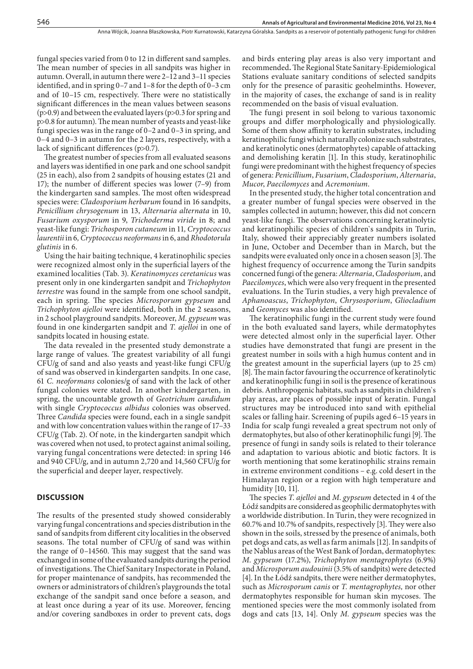fungal species varied from 0 to 12 in different sand samples. The mean number of species in all sandpits was higher in autumn. Overall, in autumn there were 2–12 and 3–11 species identified, and in spring 0–7 and 1–8 for the depth of 0–3 cm and of 10–15 cm, respectively. There were no statistically significant differences in the mean values between seasons  $(p>0.9)$  and between the evaluated layers  $(p>0.3$  for spring and p>0.8 for autumn). The mean number of yeasts and yeast-like fungi species was in the range of 0–2 and 0–3 in spring, and 0–4 and 0–3 in autumn for the 2 layers, respectively, with a lack of significant differences (p>0.7).

The greatest number of species from all evaluated seasons and layers was identified in one park and one school sandpit (25 in each), also from 2 sandpits of housing estates (21 and 17); the number of different species was lower (7–9) from the kindergarten sand samples. The most often widespread species were: *Cladosporium herbarum* found in 16 sandpits, *Penicillium chrysogenum* in 13, *Alternaria alternata* in 10, *Fusarium oxysporum* in 9, *Trichoderma viride* in 8; and yeast-like fungi: *Trichosporon cutaneum* in 11*, Cryptococcus laurentii* in 6*, Cryptococcus neoformans* in 6, and *Rhodotorula glutinis* in 6.

Using the hair baiting technique, 4 keratinophilic species were recognized almost only in the superficial layers of the examined localities (Tab. 3). *Keratinomyces ceretanicus* was present only in one kindergarten sandpit and *Trichophyton terrestre* was found in the sample from one school sandpit, each in spring. The species *Microsporum gypseum* and *Trichophyton ajelloi* were identified, both in the 2 seasons, in 2 school playground sandpits. Moreover, *M. gypseum* was found in one kindergarten sandpit and *T. ajelloi* in one of sandpits located in housing estate.

The data revealed in the presented study demonstrate a large range of values. The greatest variability of all fungi CFU/g of sand and also yeasts and yeast-like fungi CFU/g of sand was observed in kindergarten sandpits. In one case, 61 *C. neoformans* colonies/g of sand with the lack of other fungal colonies were stated. In another kindergarten, in spring, the uncountable growth of *Geotrichum candidum*  with single *Cryptococcus albidus* colonies was observed. Three *Candida* species were found, each in a single sandpit and with low concentration values within the range of 17–33 CFU/g (Tab. 2). Of note, in the kindergarten sandpit which was covered when not used, to protect against animal soiling, varying fungal concentrations were detected: in spring 146 and 940 CFU/g, and in autumn 2,720 and 14,560 CFU/g for the superficial and deeper layer, respectively.

#### **DISCUSSION**

The results of the presented study showed considerably varying fungal concentrations and species distribution in the sand of sandpits from different city localities in the observed seasons. The total number of CFU/g of sand was within the range of 0–14560. This may suggest that the sand was exchanged in some of the evaluated sandpits during the period of investigations. The Chief Sanitary Inspectorate in Poland, for proper maintenance of sandpits, has recommended the owners or administrators of children's playgrounds the total exchange of the sandpit sand once before a season, and at least once during a year of its use. Moreover, fencing and/or covering sandboxes in order to prevent cats, dogs and birds entering play areas is also very important and recommended**.** The Regional State Sanitary-Epidemiological Stations evaluate sanitary conditions of selected sandpits only for the presence of parasitic geohelminths. However, in the majority of cases, the exchange of sand is in reality recommended on the basis of visual evaluation.

The fungi present in soil belong to various taxonomic groups and differ morphologically and physiologically. Some of them show affinity to keratin substrates, including keratinophilic fungi which naturally colonize such substrates, and keratinolytic ones (dermatophytes) capable of attacking and demolishing keratin [1]. In this study, keratinophilic fungi were predominant with the highest frequency of species of genera: *Penicillium*, *Fusarium*, *Cladosporium*, *Alternaria*, *Mucor*, *Paecilomyces* and *Acremonium*.

In the presented study, the higher total concentration and a greater number of fungal species were observed in the samples collected in autumn; however, this did not concern yeast-like fungi. The observations concerning keratinolytic and keratinophilic species of children`s sandpits in Turin, Italy, showed their appreciably greater numbers isolated in June, October and December than in March, but the sandpits were evaluated only once in a chosen season [3]. The highest frequency of occurrence among the Turin sandpits concerned fungi of the genera: *Alternaria*, *Cladosporium*, and *Paecilomyces*, which were also very frequent in the presented evaluations. In the Turin studies, a very high prevalence of *Aphanoascus*, *Trichophyton*, *Chrysosporium*, *Gliocladium*  and *Geomyces* was also identified.

The keratinophilic fungi in the current study were found in the both evaluated sand layers, while dermatophytes were detected almost only in the superficial layer. Other studies have demonstrated that fungi are present in the greatest number in soils with a high humus content and in the greatest amount in the superficial layers (up to 25 cm) [8]. The main factor favouring the occurrence of keratinolytic and keratinophilic fungi in soil is the presence of keratinous debris. Anthropogenic habitats, such as sandpits in children`s play areas, are places of possible input of keratin. Fungal structures may be introduced into sand with epithelial scales or falling hair. Screening of pupils aged 6–15 years in India for scalp fungi revealed a great spectrum not only of dermatophytes, but also of other keratinophilic fungi [9]. The presence of fungi in sandy soils is related to their tolerance and adaptation to various abiotic and biotic factors. It is worth mentioning that some keratinophilic strains remain in extreme environment conditions – e.g. cold desert in the Himalayan region or a region with high temperature and humidity [10, 11].

The species *T*. *ajelloi* and *M*. *gypseum* detected in 4 of the Łódź sandpits are considered as geophilic dermatophytes with a worldwide distribution. In Turin, they were recognized in 60.7% and 10.7% of sandpits, respectively [3]. They were also shown in the soils, stressed by the presence of animals, both pet dogs and cats, as well as farm animals [12]. In sandpits of the Nablus areas of the West Bank of Jordan, dermatophytes: *M*. *gypseum* (17.2%), *Trichophyton mentagrophytes* (6.9%) and *Microsporum audouinii* (3.5% of sandpits) were detected [4]. In the Łódź sandpits, there were neither dermatophytes, such as *Microsporum canis* or *T. mentagrophytes,* nor other dermatophytes responsible for human skin mycoses. The mentioned species were the most commonly isolated from dogs and cats [13, 14]. Only *M. gypseum* species was the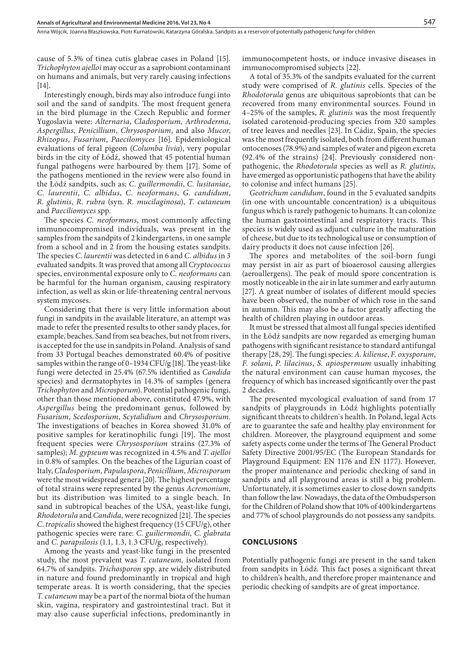cause of 5.3% of tinea cutis glabrae cases in Poland [15]. *Trichophyton ajelloi* may occur as a saprobiont contaminant on humans and animals, but very rarely causing infections [14].

Interestingly enough, birds may also introduce fungi into soil and the sand of sandpits. The most frequent genera in the bird plumage in the Czech Republic and former Yugoslavia were: *Alternaria*, *Cladosporium, Arthroderma*, *Aspergillus*, *Penicillium*, *Chrysosporium*, and also *Mucor*, *Rhizopus, Fusarium*, *Paecilomyces* [16]. Epidemiological evaluations of feral pigeon (*Columba livia*), very popular birds in the city of Łódź, showed that 45 potential human fungal pathogens were harboured by them [17]. Some of the pathogens mentioned in the review were also found in the Łódź sandpits, such as: *C. guillermondii*, *C. lusitaniae*, *C. laurentii*, *C. albidus*, *C. neoformans*, *G. candidum*, *R. glutinis*, *R. rubra* (syn. *R. mucilaginosa*), *T. cutaneum*  and *Paeciliomyces* spp.

The species *C. neoformans*, most commonly affecting immunocompromised individuals, was present in the samples from the sandpits of 2 kindergartens, in one sample from a school and in 2 from the housing estates sandpits. The species *C. laurentii* was detected in 6 and *C. albidus* in 3 evaluated sandpits*.* It was proved that among all *Cryptococcus* species, environmental exposure only to *C. neoformans* can be harmful for the human organism, causing respiratory infection, as well as skin or life-threatening central nervous system mycoses.

Considering that there is very little information about fungi in sandpits in the available literature, an attempt was made to refer the presented results to other sandy places, for example, beaches. Sand from sea beaches, but not from rivers, is accepted for the use in sandpits in Poland. Analysis of sand from 33 Portugal beaches demonstrated 60.4% of positive samples within the range of 0–1934 CFU/g [18]. The yeast-like fungi were detected in 25.4% (67.5% identified as *Candida* species) and dermatophytes in 14.3% of samples (genera *Trichophyton* and *Microsporum*). Potential pathogenic fungi, other than those mentioned above, constituted 47.9%, with *Aspergillus* being the predominant genus, followed by *Fusarium*, *Scedosporium*, *Scytalidium* and *Chrysosporium*. The investigations of beaches in Korea showed 31.0% of positive samples for keratinophilic fungi [19]. The most frequent species were *Chrysosporium* strains (27.3% of samples); *M*. *gypseum* was recognized in 4.5% and *T*. *ajelloi*  in 0.8% of samples. On the beaches of the Ligurian coast of Italy, *Cladosporium*, *Papulaspora*, *Penicillium*, *Microsporum* were the most widespread genera [20]. The highest percentage of total strains were represented by the genus *Acremonium*, but its distribution was limited to a single beach. In sand in subtropical beaches of the USA, yeast-like fungi, *Rhodotorula* and *Candida,* were recognized [21]. The species *C*. *tropicalis* showed the highest frequency (15 CFU/g), other pathogenic species were rare: *C*. *guiliermondii*, *C*. *glabrata* and *C*. *parapsilosis* (1.1, 1.3, 1.3 CFU/g, respectively).

Among the yeasts and yeast-like fungi in the presented study, the most prevalent was *T. cutaneum,* isolated from 64.7% of sandpits. *Trichosporon* spp. are widely distributed in nature and found predominantly in tropical and high temperate areas. It is worth considering, that the species *T. cutaneum* may be a part of the normal biota of the human skin, vagina, respiratory and gastrointestinal tract. But it may also cause superficial infections, predominantly in

immunocompetent hosts, or induce invasive diseases in immunocompromised subjects [22].

A total of 35.3% of the sandpits evaluated for the current study were comprised of *R. glutinis* cells. Species of the *Rhodotorula* genus are ubiquitous saprobionts that can be recovered from many environmental sources. Found in 4–25% of the samples, *R. glutinis* was the most frequently isolated carotenoid-producing species from 320 samples of tree leaves and needles [23]. In Cádiz, Spain, the species was the most frequently isolated, both from different human ontocenoses (78.9%) and samples of water and pigeon excreta (92.4% of the strains) [24]. Previously considered nonpathogenic, the *Rhodotorula* species as well as *R. glutinis,* have emerged as opportunistic pathogens that have the ability to colonise and infect humans [25].

*Geotrichum candidum*, found in the 5 evaluated sandpits (in one with uncountable concentration) is a ubiquitous fungus which is rarely pathogenic to humans. It can colonize the human gastrointestinal and respiratory tracts. This species is widely used as adjunct culture in the maturation of cheese, but due to its technological use or consumption of dairy products it does not cause infection [26].

The spores and metabolites of the soil-born fungi may persist in air as part of bioaerosol causing allergies (aeroallergens). The peak of mould spore concentration is mostly noticeable in the air in late summer and early autumn [27]. A great number of isolates of different mould species have been observed, the number of which rose in the sand in autumn. This may also be a factor greatly affecting the health of children playing in outdoor areas.

It must be stressed that almost all fungal species identified in the Łódź sandpits are now regarded as emerging human pathogens with significant resistance to standard antifungal therapy [28, 29]. The fungi species: *A. kiliense*, *F. oxysporum*, *F. solani*, *P. lilacinus*, *S. apiospermum* usually inhabiting the natural environment can cause human mycoses, the frequency of which has increased significantly over the past 2 decades.

The presented mycological evaluation of sand from 17 sandpits of playgrounds in Łódź highlights potentially significant threats to children`s health. In Poland, legal Acts are to guarantee the safe and healthy play environment for children. Moreover, the playground equipment and some safety aspects come under the terms of The General Product Safety Directive 2001/95/EC (The European Standards for Playground Equipment: EN 1176 and EN 1177). However, the proper maintenance and periodic checking of sand in sandpits and all playground areas is still a big problem. Unfortunately, it is sometimes easier to close down sandpits than follow the law. Nowadays, the data of the Ombudsperson for the Children of Poland show that 10% of 400 kindergartens and 77% of school playgrounds do not possess any sandpits.

#### **CONCLUSIONS**

Potentially pathogenic fungi are present in the sand taken from sandpits in Łódź. This fact poses a significant threat to children's health, and therefore proper maintenance and periodic checking of sandpits are of great importance.